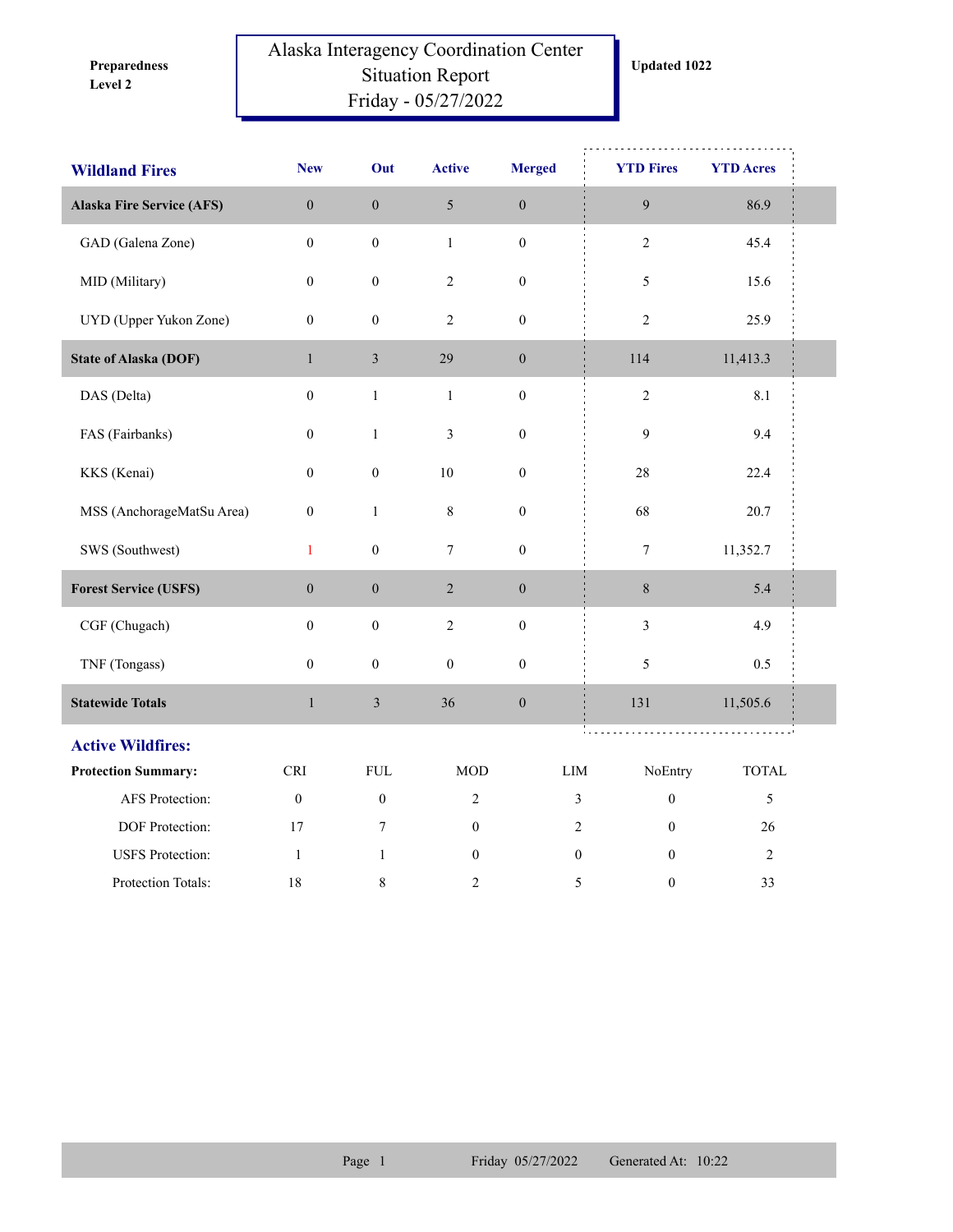**Level 2 Preparedness** 

## Alaska Interagency Coordination Center Situation Report Friday - 05/27/2022

| <b>Wildland Fires</b>            | <b>New</b>       | Out              | <b>Active</b>    | <b>Merged</b>    |                             | <b>YTD Fires</b> | <b>YTD Acres</b> |
|----------------------------------|------------------|------------------|------------------|------------------|-----------------------------|------------------|------------------|
| <b>Alaska Fire Service (AFS)</b> | $\boldsymbol{0}$ | $\boldsymbol{0}$ | $\mathfrak{S}$   | $\boldsymbol{0}$ |                             | $\overline{9}$   | 86.9             |
| GAD (Galena Zone)                | $\mathbf{0}$     | $\boldsymbol{0}$ | $\mathbf{1}$     | $\boldsymbol{0}$ |                             | $\overline{2}$   | 45.4             |
| MID (Military)                   | $\boldsymbol{0}$ | $\boldsymbol{0}$ | $\overline{c}$   | $\boldsymbol{0}$ |                             | $\sqrt{5}$       | 15.6             |
| UYD (Upper Yukon Zone)           | $\boldsymbol{0}$ | $\boldsymbol{0}$ | $\overline{2}$   | $\boldsymbol{0}$ |                             | $\sqrt{2}$       | 25.9             |
| <b>State of Alaska (DOF)</b>     | $\mathbf{1}$     | $\mathfrak{Z}$   | 29               | $\boldsymbol{0}$ |                             | 114              | 11,413.3         |
| DAS (Delta)                      | $\boldsymbol{0}$ | $\,1$            | $\mathbf{1}$     | $\boldsymbol{0}$ |                             | $\sqrt{2}$       | $8.1\,$          |
| FAS (Fairbanks)                  | $\boldsymbol{0}$ | $\mathbf{1}$     | $\mathfrak{Z}$   | $\boldsymbol{0}$ |                             | $\overline{9}$   | 9.4              |
| KKS (Kenai)                      | $\boldsymbol{0}$ | $\boldsymbol{0}$ | $10\,$           | $\boldsymbol{0}$ |                             | $28\,$           | 22.4             |
| MSS (AnchorageMatSu Area)        | $\boldsymbol{0}$ | $\mathbf{1}$     | $\,8\,$          | $\boldsymbol{0}$ |                             | 68               | 20.7             |
| SWS (Southwest)                  | $\mathbf{1}$     | $\boldsymbol{0}$ | $\tau$           | $\boldsymbol{0}$ |                             | $\boldsymbol{7}$ | 11,352.7         |
| <b>Forest Service (USFS)</b>     | $\boldsymbol{0}$ | $\boldsymbol{0}$ | $\sqrt{2}$       | $\boldsymbol{0}$ |                             | $\,8\,$          | 5.4              |
| CGF (Chugach)                    | $\boldsymbol{0}$ | $\boldsymbol{0}$ | $\sqrt{2}$       | $\boldsymbol{0}$ |                             | $\overline{3}$   | 4.9              |
| TNF (Tongass)                    | $\mathbf{0}$     | $\boldsymbol{0}$ | $\boldsymbol{0}$ | $\boldsymbol{0}$ |                             | 5                | 0.5              |
| <b>Statewide Totals</b>          | $\,1$            | $\mathfrak{Z}$   | 36               | $\boldsymbol{0}$ |                             | 131              | 11,505.6         |
| <b>Active Wildfires:</b>         |                  |                  |                  |                  |                             |                  |                  |
| <b>Protection Summary:</b>       | <b>CRI</b>       | ${\rm FUL}$      | <b>MOD</b>       |                  | $\mathop{\rm LIM}\nolimits$ | NoEntry          | <b>TOTAL</b>     |
| AFS Protection:                  | $\mathbf{0}$     | $\mathbf{0}$     | $\overline{2}$   |                  | $\overline{3}$              | $\mathbf{0}$     | $\mathfrak s$    |
| DOF Protection:                  | 17               | $7\phantom{.0}$  | $\boldsymbol{0}$ |                  | $\overline{2}$              | $\mathbf{0}$     | 26               |
| <b>USFS</b> Protection:          | -1               | $\mathbf{1}$     | $\boldsymbol{0}$ |                  | $\boldsymbol{0}$            | $\mathbf{0}$     | $\overline{2}$   |
| Protection Totals:               | 18               | 8                | 2                |                  | 5                           | $\boldsymbol{0}$ | 33               |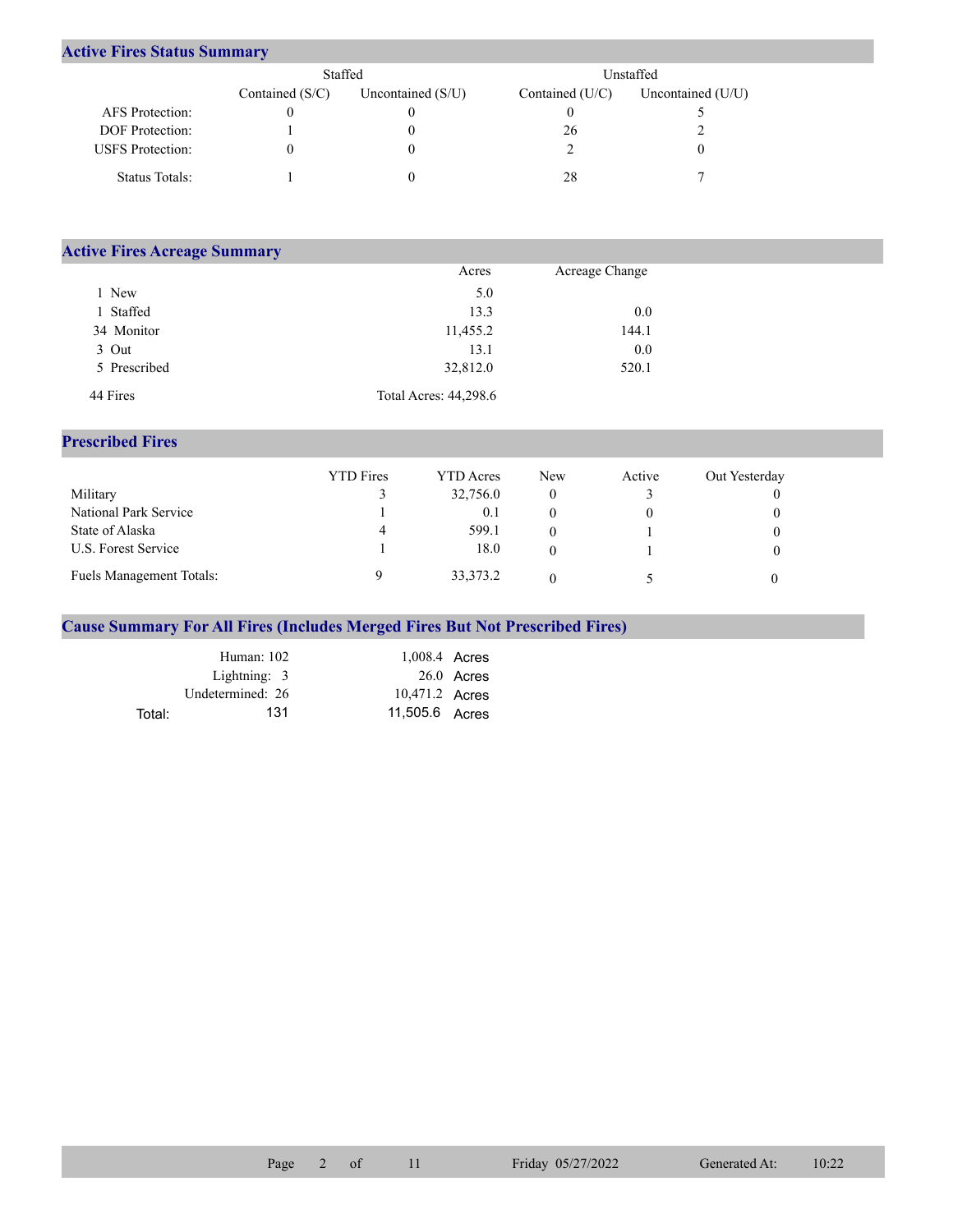## **Active Fires Status Summary**

|                         | Staffed           |                     | Unstaffed.        |                     |  |  |
|-------------------------|-------------------|---------------------|-------------------|---------------------|--|--|
|                         | Contained $(S/C)$ | Uncontained $(S/U)$ | Contained $(U/C)$ | Uncontained $(U/U)$ |  |  |
| AFS Protection:         |                   |                     |                   |                     |  |  |
| <b>DOF</b> Protection:  |                   |                     | 26                |                     |  |  |
| <b>USFS</b> Protection: |                   |                     |                   |                     |  |  |
| Status Totals:          |                   |                     | 28                |                     |  |  |

| <b>Active Fires Acreage Summary</b> |                       |                |  |
|-------------------------------------|-----------------------|----------------|--|
|                                     | Acres                 | Acreage Change |  |
| New                                 | 5.0                   |                |  |
| Staffed                             | 13.3                  | 0.0            |  |
| 34 Monitor                          | 11,455.2              | 144.1          |  |
| 3 Out                               | 13.1                  | 0.0            |  |
| 5 Prescribed                        | 32,812.0              | 520.1          |  |
| 44 Fires                            | Total Acres: 44,298.6 |                |  |

## **Prescribed Fires**

|                          | <b>YTD</b> Fires | <b>YTD</b> Acres | New | Active | Out Yesterday |
|--------------------------|------------------|------------------|-----|--------|---------------|
| Military                 |                  | 32,756.0         | 0   |        |               |
| National Park Service    |                  | 0.1              |     |        |               |
| State of Alaska          | 4                | 599.1            |     |        |               |
| U.S. Forest Service      |                  | 18.0             |     |        |               |
| Fuels Management Totals: |                  | 33, 373. 2       |     |        |               |

## **Cause Summary For All Fires (Includes Merged Fires But Not Prescribed Fires)**

|        | Human: 102       | 1,008.4 Acres  |              |
|--------|------------------|----------------|--------------|
|        | Lightning: 3     |                | $26.0$ Acres |
|        | Undetermined: 26 | 10,471.2 Acres |              |
| Total: | 131              | 11.505.6 Acres |              |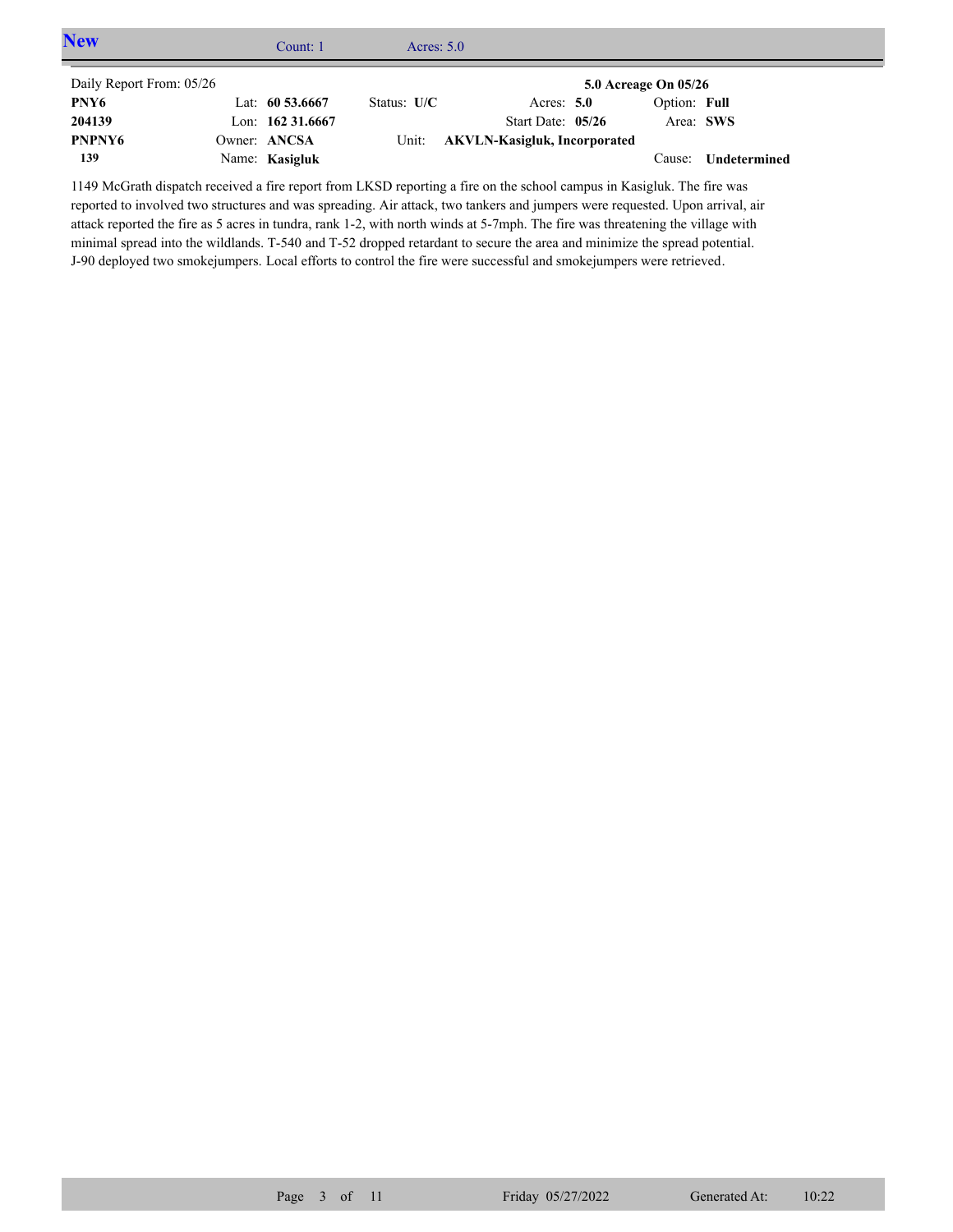| <b>New</b>               | Count: $1$         | Acres: $5.0$  |                                    |                      |              |  |
|--------------------------|--------------------|---------------|------------------------------------|----------------------|--------------|--|
| Daily Report From: 05/26 |                    |               |                                    | 5.0 Acreage On 05/26 |              |  |
| PNY6                     | Lat: $60\,53.6667$ | Status: $U/C$ | Acres: $5.0$                       | Option: Full         |              |  |
| 204139                   | Lon: $16231.6667$  |               | Start Date: $05/26$                | Area: SWS            |              |  |
| PNPNY <sub>6</sub>       | Owner: ANCSA       |               | Unit: AKVLN-Kasigluk, Incorporated |                      |              |  |
| 139                      | Name: Kasigluk     |               |                                    | Cause:               | Undetermined |  |

1149 McGrath dispatch received a fire report from LKSD reporting a fire on the school campus in Kasigluk. The fire was reported to involved two structures and was spreading. Air attack, two tankers and jumpers were requested. Upon arrival, air attack reported the fire as 5 acres in tundra, rank 1-2, with north winds at 5-7mph. The fire was threatening the village with minimal spread into the wildlands. T-540 and T-52 dropped retardant to secure the area and minimize the spread potential. J-90 deployed two smokejumpers. Local efforts to control the fire were successful and smokejumpers were retrieved.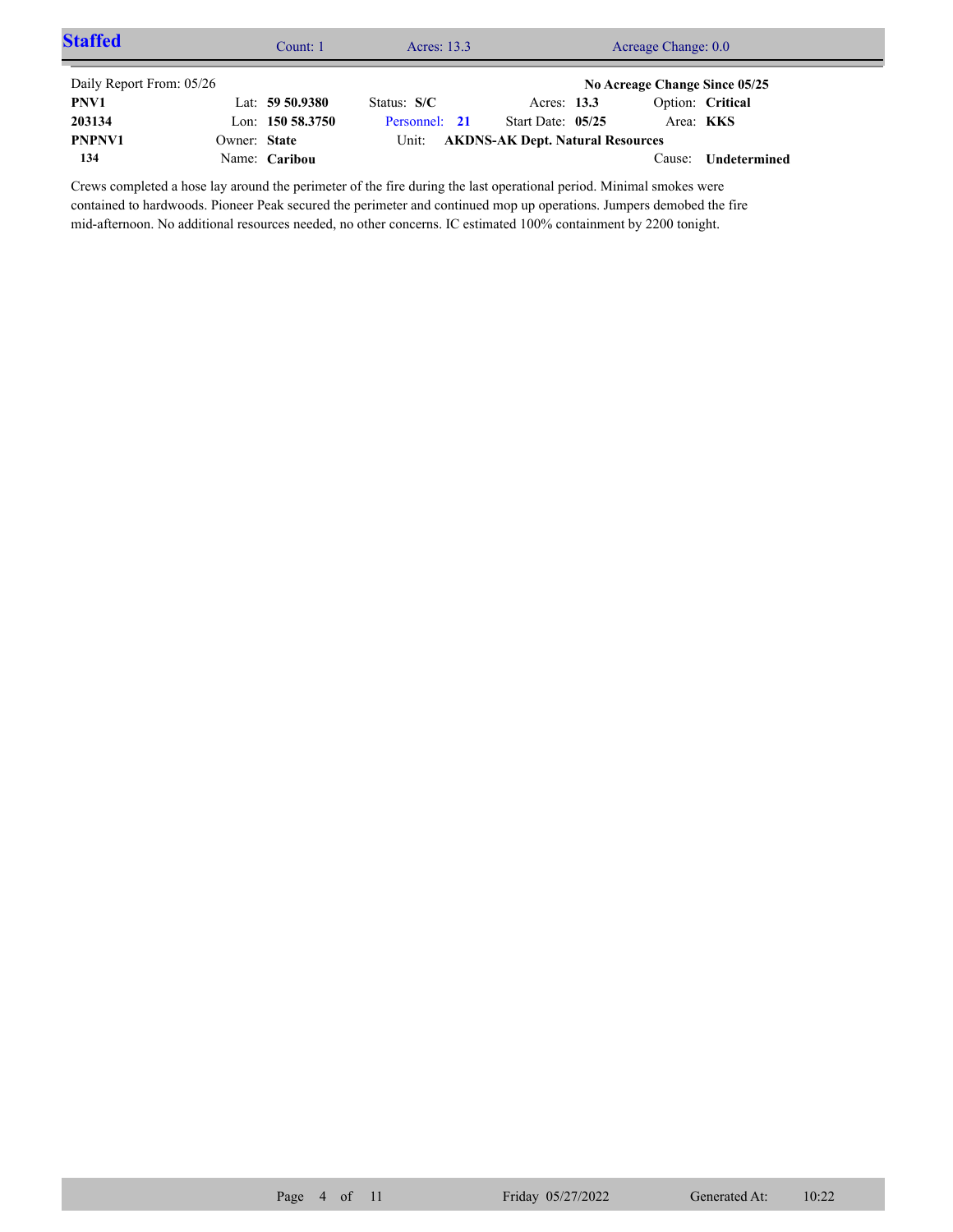| <b>Staffed</b>           |              | Count: 1           | Acres: 13.3   | Acreage Change: 0.0                     |  |                               |                     |  |
|--------------------------|--------------|--------------------|---------------|-----------------------------------------|--|-------------------------------|---------------------|--|
| Daily Report From: 05/26 |              |                    |               |                                         |  | No Acreage Change Since 05/25 |                     |  |
| PNV1                     |              | Lat: $59\,50.9380$ | Status: $S/C$ | Acres: 13.3                             |  |                               | Option: Critical    |  |
| 203134                   |              | Lon: 150 58.3750   | Personnel: 21 | Start Date: 05/25                       |  | Area: <b>KKS</b>              |                     |  |
| PNPNV1                   | Owner: State |                    | Unit:         | <b>AKDNS-AK Dept. Natural Resources</b> |  |                               |                     |  |
| 134                      |              | Name: Caribou      |               |                                         |  | Cause:                        | <b>Undetermined</b> |  |

Crews completed a hose lay around the perimeter of the fire during the last operational period. Minimal smokes were contained to hardwoods. Pioneer Peak secured the perimeter and continued mop up operations. Jumpers demobed the fire mid-afternoon. No additional resources needed, no other concerns. IC estimated 100% containment by 2200 tonight.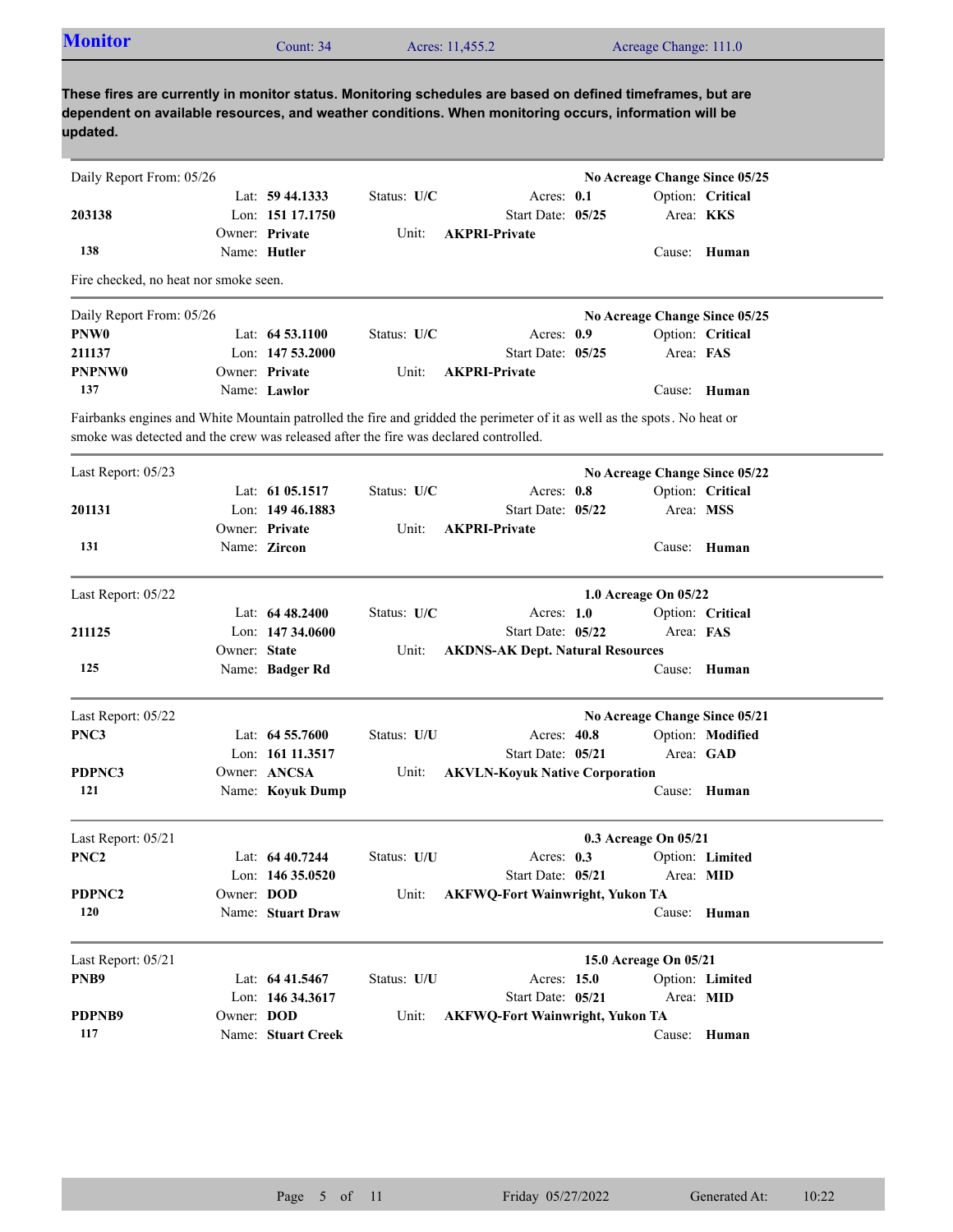| <b>Monitor</b>                                                                                                                                                                                                                  |              | Count: 34                           |             | Acres: 11,455.2                         |                                  | Acreage Change: 111.0         |                  |
|---------------------------------------------------------------------------------------------------------------------------------------------------------------------------------------------------------------------------------|--------------|-------------------------------------|-------------|-----------------------------------------|----------------------------------|-------------------------------|------------------|
| These fires are currently in monitor status. Monitoring schedules are based on defined timeframes, but are<br>dependent on available resources, and weather conditions. When monitoring occurs, information will be<br>updated. |              |                                     |             |                                         |                                  |                               |                  |
| Daily Report From: 05/26                                                                                                                                                                                                        |              |                                     |             |                                         |                                  | No Acreage Change Since 05/25 |                  |
|                                                                                                                                                                                                                                 |              | Lat: $59\,44.1333$                  | Status: U/C |                                         | Acres: 0.1                       |                               | Option: Critical |
| 203138                                                                                                                                                                                                                          |              | Lon: 151 17.1750                    |             |                                         | Start Date: 05/25                | Area: <b>KKS</b>              |                  |
|                                                                                                                                                                                                                                 |              | Owner: Private                      | Unit:       | <b>AKPRI-Private</b>                    |                                  |                               |                  |
| 138                                                                                                                                                                                                                             |              | Name: Hutler                        |             |                                         |                                  |                               | Cause: Human     |
| Fire checked, no heat nor smoke seen.                                                                                                                                                                                           |              |                                     |             |                                         |                                  |                               |                  |
| Daily Report From: 05/26                                                                                                                                                                                                        |              |                                     |             |                                         |                                  | No Acreage Change Since 05/25 |                  |
| PNW <sub>0</sub>                                                                                                                                                                                                                |              | Lat: $64\,53.1100$                  | Status: U/C |                                         | Acres: 0.9                       |                               | Option: Critical |
| 211137                                                                                                                                                                                                                          |              | Lon: $14753.2000$                   |             |                                         | Start Date: 05/25                | Area: FAS                     |                  |
| <b>PNPNW0</b>                                                                                                                                                                                                                   |              | Owner: Private                      | Unit:       | <b>AKPRI-Private</b>                    |                                  |                               |                  |
| 137                                                                                                                                                                                                                             |              | Name: Lawlor                        |             |                                         |                                  |                               | Cause: Human     |
| Fairbanks engines and White Mountain patrolled the fire and gridded the perimeter of it as well as the spots. No heat or<br>smoke was detected and the crew was released after the fire was declared controlled.                |              |                                     |             |                                         |                                  |                               |                  |
| Last Report: 05/23                                                                                                                                                                                                              |              |                                     |             |                                         |                                  | No Acreage Change Since 05/22 |                  |
|                                                                                                                                                                                                                                 |              | Lat: 61 05.1517                     | Status: U/C |                                         | Acres: 0.8                       |                               | Option: Critical |
| 201131                                                                                                                                                                                                                          |              | Lon: 149 46.1883                    |             |                                         | Start Date: 05/22                | Area: MSS                     |                  |
|                                                                                                                                                                                                                                 |              | Owner: Private                      | Unit:       | <b>AKPRI-Private</b>                    |                                  |                               |                  |
| 131                                                                                                                                                                                                                             |              | Name: Zircon                        |             |                                         |                                  |                               | Cause: Human     |
| Last Report: 05/22                                                                                                                                                                                                              |              |                                     |             |                                         |                                  | 1.0 Acreage On 05/22          |                  |
|                                                                                                                                                                                                                                 |              | Lat: $6448.2400$                    | Status: U/C |                                         | Acres: $1.0$                     |                               | Option: Critical |
| 211125                                                                                                                                                                                                                          |              | Lon: $14734.0600$                   |             |                                         | Start Date: 05/22                | Area: FAS                     |                  |
|                                                                                                                                                                                                                                 | Owner: State |                                     | Unit:       | <b>AKDNS-AK Dept. Natural Resources</b> |                                  |                               |                  |
| 125                                                                                                                                                                                                                             |              | Name: Badger Rd                     |             |                                         |                                  |                               | Cause: Human     |
|                                                                                                                                                                                                                                 |              |                                     |             |                                         |                                  |                               |                  |
| Last Report: 05/22                                                                                                                                                                                                              |              |                                     |             |                                         |                                  | No Acreage Change Since 05/21 |                  |
| PNC3                                                                                                                                                                                                                            |              | Lat: 64 55.7600<br>Lon: 161 11.3517 | Status: U/U |                                         | Acres: 40.8<br>Start Date: 05/21 | Area: GAD                     | Option: Modified |
| PDPNC3                                                                                                                                                                                                                          |              | Owner: ANCSA                        | Unit:       | <b>AKVLN-Koyuk Native Corporation</b>   |                                  |                               |                  |
| 121                                                                                                                                                                                                                             |              | Name: Koyuk Dump                    |             |                                         |                                  |                               | Cause: Human     |
|                                                                                                                                                                                                                                 |              |                                     |             |                                         |                                  |                               |                  |
| Last Report: 05/21                                                                                                                                                                                                              |              |                                     |             |                                         |                                  | 0.3 Acreage On 05/21          |                  |
| PNC <sub>2</sub>                                                                                                                                                                                                                |              | Lat: 64 40.7244                     | Status: U/U |                                         | Acres: 0.3                       |                               | Option: Limited  |
|                                                                                                                                                                                                                                 |              | Lon: 146 35.0520                    |             |                                         | Start Date: 05/21                | Area: MID                     |                  |
| PDPNC2                                                                                                                                                                                                                          | Owner: DOD   |                                     | Unit:       | <b>AKFWQ-Fort Wainwright, Yukon TA</b>  |                                  |                               |                  |
| 120                                                                                                                                                                                                                             |              | Name: Stuart Draw                   |             |                                         |                                  |                               | Cause: Human     |
| Last Report: 05/21                                                                                                                                                                                                              |              |                                     |             |                                         |                                  | 15.0 Acreage On 05/21         |                  |
| PNB9                                                                                                                                                                                                                            |              | Lat: 64 41.5467                     | Status: U/U |                                         | Acres: 15.0                      |                               | Option: Limited  |
|                                                                                                                                                                                                                                 |              | Lon: 146 34.3617                    |             |                                         | Start Date: 05/21                | Area: MID                     |                  |
| PDPNB9                                                                                                                                                                                                                          | Owner: DOD   |                                     | Unit:       | <b>AKFWQ-Fort Wainwright, Yukon TA</b>  |                                  |                               |                  |
| 117                                                                                                                                                                                                                             |              | Name: Stuart Creek                  |             |                                         |                                  |                               | Cause: Human     |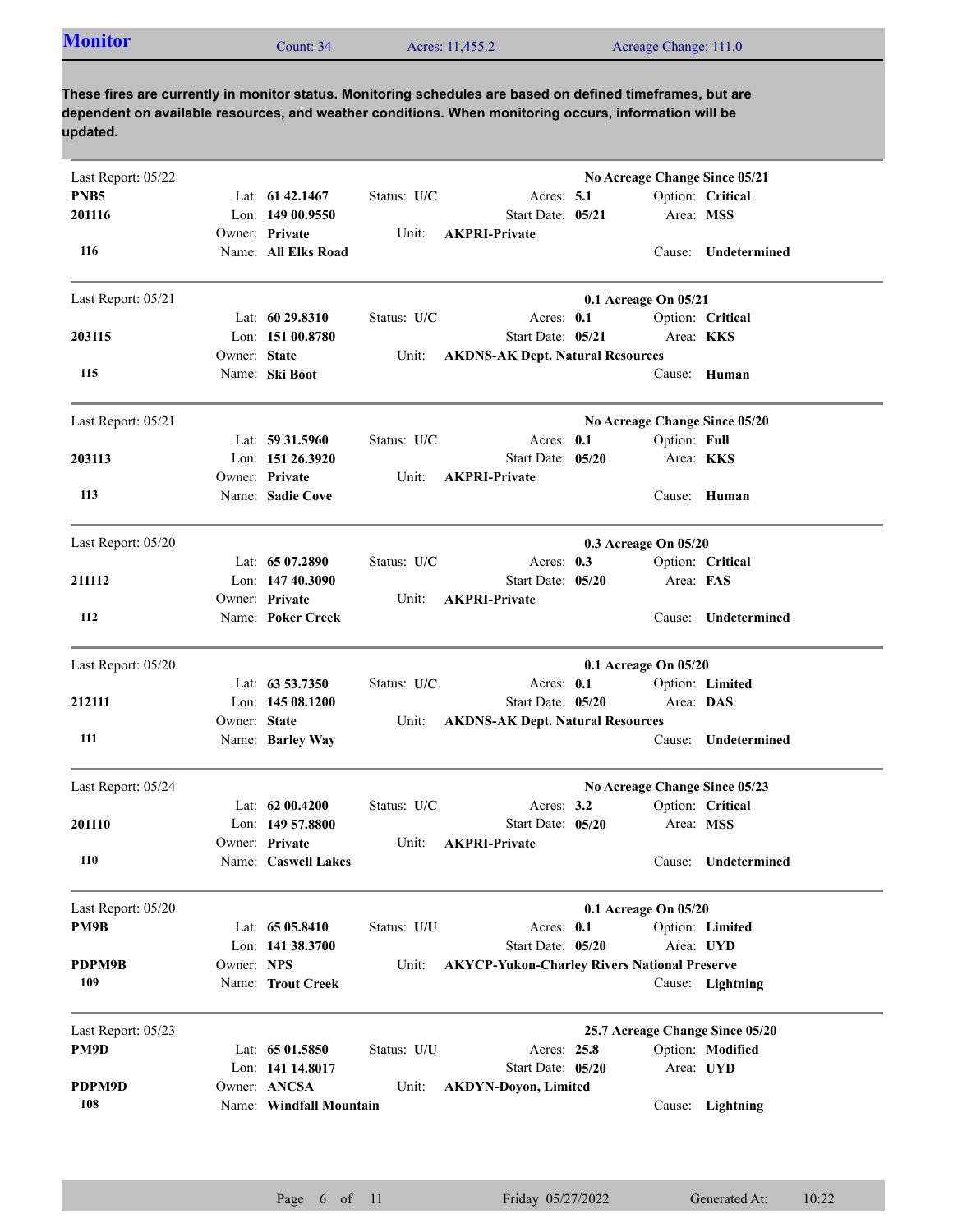| <b>Monitor</b> | Count: 34 | Acres: 11,455.2 | Acreage Change: 111.0 |  |
|----------------|-----------|-----------------|-----------------------|--|
|----------------|-----------|-----------------|-----------------------|--|

| Last Report: 05/22 |              |                         |             |                                                     |                      |              | No Acreage Change Since 05/21   |
|--------------------|--------------|-------------------------|-------------|-----------------------------------------------------|----------------------|--------------|---------------------------------|
| PNB <sub>5</sub>   |              | Lat: $61\,42.1467$      | Status: U/C | Acres: $5.1$                                        |                      |              | Option: Critical                |
| 201116             |              | Lon: $14900.9550$       |             | Start Date: 05/21                                   |                      |              | Area: MSS                       |
|                    |              | Owner: Private          | Unit:       | <b>AKPRI-Private</b>                                |                      |              |                                 |
| 116                |              | Name: All Elks Road     |             |                                                     |                      | Cause:       | Undetermined                    |
| Last Report: 05/21 |              |                         |             |                                                     | 0.1 Acreage On 05/21 |              |                                 |
|                    |              | Lat: $6029.8310$        | Status: U/C | Acres: $0.1$                                        |                      |              | Option: Critical                |
| 203115             |              | Lon: 151 00.8780        |             | Start Date: 05/21                                   |                      |              | Area: KKS                       |
|                    | Owner: State |                         | Unit:       | <b>AKDNS-AK Dept. Natural Resources</b>             |                      |              |                                 |
| 115                |              | Name: Ski Boot          |             |                                                     |                      | Cause:       | Human                           |
| Last Report: 05/21 |              |                         |             |                                                     |                      |              | No Acreage Change Since 05/20   |
|                    |              | Lat: 59 31.5960         | Status: U/C | Acres: 0.1                                          |                      | Option: Full |                                 |
| 203113             |              | Lon: 151 26.3920        |             | Start Date: 05/20                                   |                      |              | Area: <b>KKS</b>                |
|                    |              | Owner: Private          | Unit:       | <b>AKPRI-Private</b>                                |                      |              |                                 |
| 113                |              | Name: Sadie Cove        |             |                                                     |                      |              | Cause: Human                    |
| Last Report: 05/20 |              |                         |             |                                                     | 0.3 Acreage On 05/20 |              |                                 |
|                    |              | Lat: 65 07.2890         | Status: U/C | Acres: $0.3$                                        |                      |              | Option: Critical                |
| 211112             |              | Lon: 147 40.3090        |             | Start Date: 05/20                                   |                      | Area: FAS    |                                 |
|                    |              | Owner: Private          | Unit:       | <b>AKPRI-Private</b>                                |                      |              |                                 |
| 112                |              | Name: Poker Creek       |             |                                                     |                      | Cause:       | Undetermined                    |
| Last Report: 05/20 |              |                         |             |                                                     | 0.1 Acreage On 05/20 |              |                                 |
|                    |              | Lat: 63 53.7350         | Status: U/C | Acres: 0.1                                          |                      |              | Option: Limited                 |
| 212111             |              | Lon: $14508.1200$       |             | Start Date: 05/20                                   |                      | Area: DAS    |                                 |
|                    | Owner: State |                         | Unit:       | <b>AKDNS-AK Dept. Natural Resources</b>             |                      |              |                                 |
| 111                |              | Name: Barley Way        |             |                                                     |                      |              | Cause: Undetermined             |
| Last Report: 05/24 |              |                         |             |                                                     |                      |              | No Acreage Change Since 05/23   |
|                    |              | Lat: $6200.4200$        | Status: U/C | Acres: $3.2$                                        |                      |              | Option: Critical                |
| 201110             |              | Lon: $14957.8800$       |             | Start Date: 05/20                                   |                      | Area: MSS    |                                 |
|                    |              | Owner: Private          | Unit:       | <b>AKPRI-Private</b>                                |                      |              |                                 |
| 110                |              | Name: Caswell Lakes     |             |                                                     |                      |              | Cause: Undetermined             |
| Last Report: 05/20 |              |                         |             |                                                     | 0.1 Acreage On 05/20 |              |                                 |
| PM9B               |              | Lat: 65 05.8410         | Status: U/U | Acres: 0.1                                          |                      |              | Option: Limited                 |
|                    |              | Lon: 141 38.3700        |             | Start Date: 05/20                                   |                      |              | Area: UYD                       |
| PDPM9B             | Owner: NPS   |                         | Unit:       | <b>AKYCP-Yukon-Charley Rivers National Preserve</b> |                      |              |                                 |
| 109                |              | Name: Trout Creek       |             |                                                     |                      |              | Cause: Lightning                |
| Last Report: 05/23 |              |                         |             |                                                     |                      |              | 25.7 Acreage Change Since 05/20 |
| PM9D               |              | Lat: 65 01.5850         | Status: U/U | Acres: 25.8                                         |                      |              | Option: Modified                |
|                    |              | Lon: 141 14.8017        |             | Start Date: 05/20                                   |                      |              | Area: UYD                       |
| PDPM9D             |              | Owner: ANCSA            | Unit:       | <b>AKDYN-Doyon, Limited</b>                         |                      |              |                                 |
| 108                |              | Name: Windfall Mountain |             |                                                     |                      |              | Cause: Lightning                |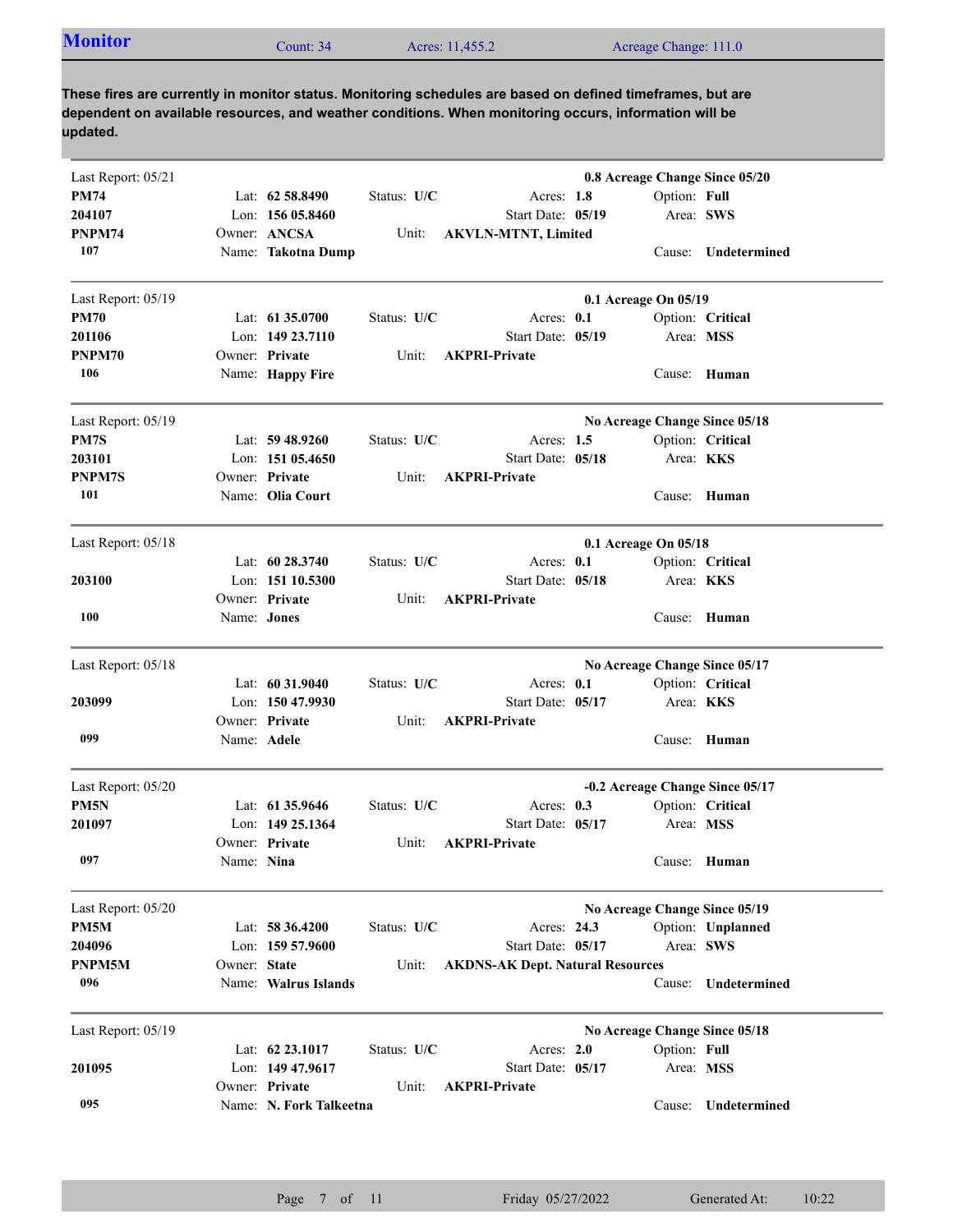| <b>Monitor</b><br>Acres: 11,455.2<br>Count: $34$ | Acreage Change: 111.0 |
|--------------------------------------------------|-----------------------|
|--------------------------------------------------|-----------------------|

| Last Report: 05/21 |              |                         |             |                                         |                      |                  | 0.8 Acreage Change Since 05/20  |
|--------------------|--------------|-------------------------|-------------|-----------------------------------------|----------------------|------------------|---------------------------------|
| <b>PM74</b>        |              | Lat: 62 58.8490         | Status: U/C | Acres: 1.8                              |                      | Option: Full     |                                 |
| 204107             |              | Lon: $15605.8460$       |             | Start Date: 05/19                       |                      | Area: SWS        |                                 |
| PNPM74             |              | Owner: ANCSA            | Unit:       | <b>AKVLN-MTNT, Limited</b>              |                      |                  |                                 |
| 107                |              | Name: Takotna Dump      |             |                                         |                      |                  | Cause: Undetermined             |
| Last Report: 05/19 |              |                         |             |                                         | 0.1 Acreage On 05/19 |                  |                                 |
| <b>PM70</b>        |              | Lat: $61\,35.0700$      | Status: U/C | Acres: 0.1                              |                      |                  | Option: Critical                |
| 201106             |              | Lon: 149 23.7110        |             | Start Date: 05/19                       |                      | Area: MSS        |                                 |
| PNPM70             |              | Owner: Private          | Unit:       | <b>AKPRI-Private</b>                    |                      |                  |                                 |
| 106                |              | Name: Happy Fire        |             |                                         |                      |                  | Cause: Human                    |
| Last Report: 05/19 |              |                         |             |                                         |                      |                  | No Acreage Change Since 05/18   |
| PM7S               |              | Lat: $59\,48.9260$      | Status: U/C | Acres: $1.5$                            |                      |                  | Option: Critical                |
| 203101             |              | Lon: $15105.4650$       |             | Start Date: 05/18                       |                      | Area: <b>KKS</b> |                                 |
| PNPM7S             |              | Owner: Private          | Unit:       | <b>AKPRI-Private</b>                    |                      |                  |                                 |
| 101                |              | Name: Olia Court        |             |                                         |                      |                  | Cause: Human                    |
| Last Report: 05/18 |              |                         |             |                                         | 0.1 Acreage On 05/18 |                  |                                 |
|                    |              | Lat: $60\,28.3740$      | Status: U/C | Acres: $0.1$                            |                      |                  | Option: Critical                |
| 203100             |              | Lon: 151 10.5300        |             | Start Date: 05/18                       |                      | Area: KKS        |                                 |
|                    |              | Owner: Private          | Unit:       | <b>AKPRI-Private</b>                    |                      |                  |                                 |
| 100                | Name: Jones  |                         |             |                                         |                      |                  | Cause: Human                    |
| Last Report: 05/18 |              |                         |             |                                         |                      |                  | No Acreage Change Since 05/17   |
|                    |              | Lat: 60 31.9040         | Status: U/C | Acres: 0.1                              |                      |                  | Option: Critical                |
| 203099             |              | Lon: 150 47.9930        |             | Start Date: 05/17                       |                      | Area: KKS        |                                 |
|                    |              | Owner: Private          | Unit:       | <b>AKPRI-Private</b>                    |                      |                  |                                 |
| 099                | Name: Adele  |                         |             |                                         |                      |                  | Cause: Human                    |
| Last Report: 05/20 |              |                         |             |                                         |                      |                  | -0.2 Acreage Change Since 05/17 |
| PM5N               |              | Lat: 61 35.9646         | Status: U/C | Acres: 0.3                              |                      |                  | Option: Critical                |
| 201097             |              | Lon: 149 25.1364        |             | Start Date: 05/17                       |                      | Area: MSS        |                                 |
|                    |              | Owner: Private          | Unit:       | <b>AKPRI-Private</b>                    |                      |                  |                                 |
| 097                | Name: Nina   |                         |             |                                         |                      |                  | Cause: Human                    |
| Last Report: 05/20 |              |                         |             |                                         |                      |                  | No Acreage Change Since 05/19   |
| PM5M               |              | Lat: 58 36.4200         | Status: U/C | Acres: 24.3                             |                      |                  | Option: Unplanned               |
| 204096             |              | Lon: $15957.9600$       |             | Start Date: 05/17                       |                      | Area: SWS        |                                 |
| PNPM5M             | Owner: State |                         | Unit:       | <b>AKDNS-AK Dept. Natural Resources</b> |                      |                  |                                 |
| 096                |              | Name: Walrus Islands    |             |                                         |                      | Cause:           | Undetermined                    |
| Last Report: 05/19 |              |                         |             |                                         |                      |                  | No Acreage Change Since 05/18   |
|                    |              | Lat: 62 23.1017         | Status: U/C | Acres: 2.0                              |                      | Option: Full     |                                 |
| 201095             |              | Lon: 149 47.9617        |             | Start Date: 05/17                       |                      | Area: MSS        |                                 |
|                    |              | Owner: Private          | Unit:       | <b>AKPRI-Private</b>                    |                      |                  |                                 |
| 095                |              | Name: N. Fork Talkeetna |             |                                         |                      | Cause:           | Undetermined                    |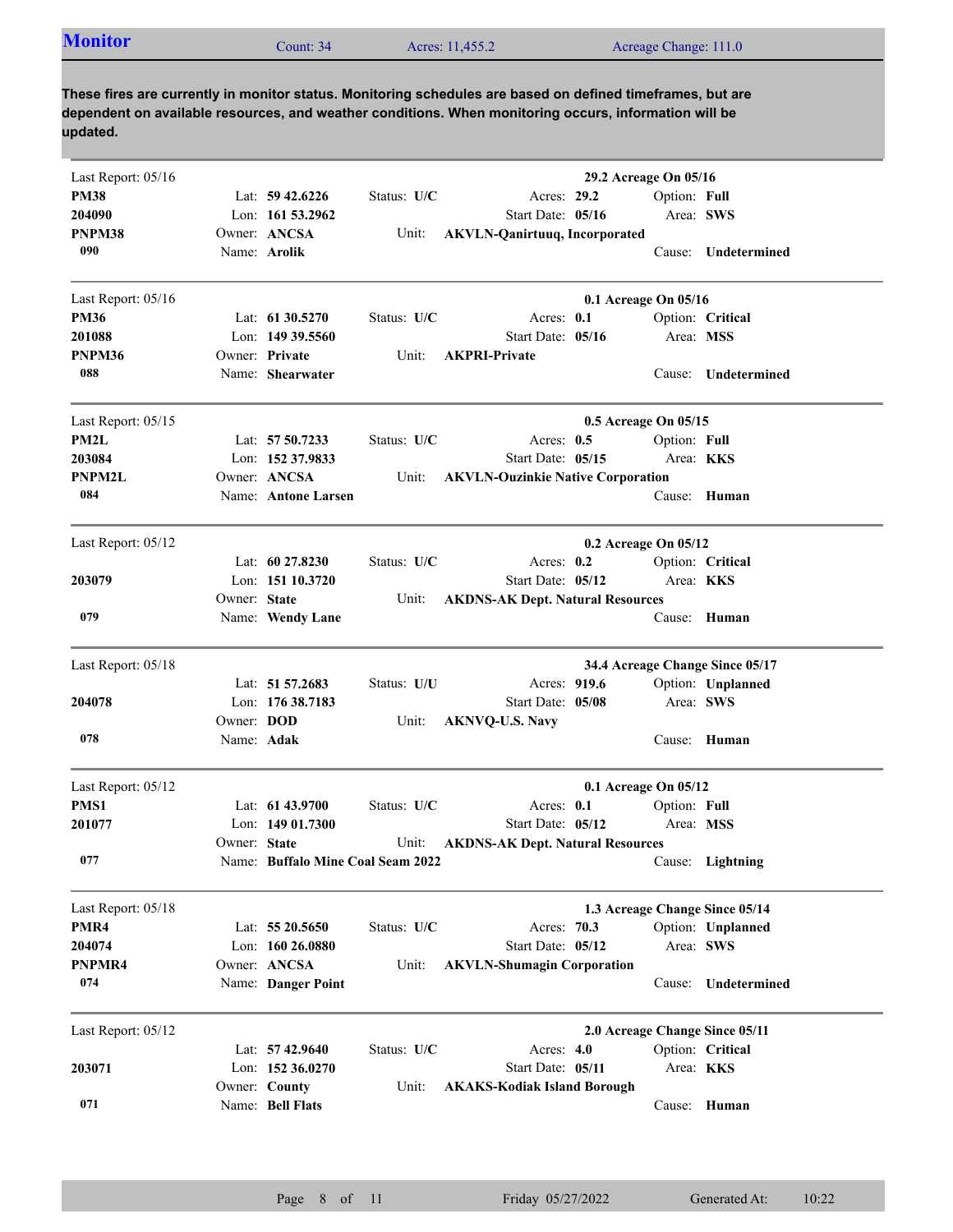| <b>Monitor</b><br>Count: 34 | Acres: 11,455.2 | Acreage Change: 111.0 |  |
|-----------------------------|-----------------|-----------------------|--|
|-----------------------------|-----------------|-----------------------|--|

| Last Report: 05/16 |                   |                                   |             | 29.2 Acreage On 05/16                    |                  |                                 |
|--------------------|-------------------|-----------------------------------|-------------|------------------------------------------|------------------|---------------------------------|
| <b>PM38</b>        |                   | Lat: $59\,42.6226$                | Status: U/C | Acres: 29.2                              | Option: Full     |                                 |
| 204090             |                   | Lon: 161 53.2962                  |             | Start Date: 05/16                        | Area: SWS        |                                 |
| PNPM38             |                   | Owner: ANCSA                      | Unit:       | <b>AKVLN-Qanirtuuq, Incorporated</b>     |                  |                                 |
| 090                |                   | Name: Arolik                      |             |                                          |                  | Cause: Undetermined             |
| Last Report: 05/16 |                   |                                   |             | 0.1 Acreage On 05/16                     |                  |                                 |
| <b>PM36</b>        |                   | Lat: $61\,30.5270$                | Status: U/C | Acres: 0.1                               |                  | Option: Critical                |
| 201088             |                   | Lon: $14939.5560$                 |             | Start Date: 05/16                        | Area: MSS        |                                 |
| PNPM36             |                   | Owner: Private                    | Unit:       | <b>AKPRI-Private</b>                     |                  |                                 |
| 088                |                   | Name: Shearwater                  |             |                                          | Cause:           | Undetermined                    |
| Last Report: 05/15 |                   |                                   |             | 0.5 Acreage On 05/15                     |                  |                                 |
| PM2L               |                   | Lat: 57 50.7233                   | Status: U/C | Acres: $0.5$                             | Option: Full     |                                 |
| 203084             |                   | Lon: 152 37.9833                  |             | Start Date: 05/15                        | Area: <b>KKS</b> |                                 |
| <b>PNPM2L</b>      |                   | Owner: ANCSA                      | Unit:       | <b>AKVLN-Ouzinkie Native Corporation</b> |                  |                                 |
| 084                |                   | Name: Antone Larsen               |             |                                          |                  | Cause: Human                    |
| Last Report: 05/12 |                   |                                   |             | 0.2 Acreage On 05/12                     |                  |                                 |
|                    |                   | Lat: 60 27.8230                   | Status: U/C | Acres: $0.2$                             |                  | Option: Critical                |
| 203079             |                   | Lon: 151 10.3720                  |             | Start Date: 05/12                        | Area: KKS        |                                 |
|                    | Owner: State      |                                   | Unit:       | <b>AKDNS-AK Dept. Natural Resources</b>  |                  |                                 |
| 079                |                   | Name: Wendy Lane                  |             |                                          | Cause:           | Human                           |
| Last Report: 05/18 |                   |                                   |             |                                          |                  | 34.4 Acreage Change Since 05/17 |
|                    |                   | Lat: 51 57.2683                   | Status: U/U | Acres: 919.6                             |                  | Option: Unplanned               |
| 204078             |                   | Lon: 176 38.7183                  |             | Start Date: 05/08                        | Area: SWS        |                                 |
|                    | Owner: <b>DOD</b> |                                   | Unit:       | <b>AKNVQ-U.S. Navy</b>                   |                  |                                 |
| 078                | Name: Adak        |                                   |             |                                          | Cause:           | Human                           |
| Last Report: 05/12 |                   |                                   |             | 0.1 Acreage On 05/12                     |                  |                                 |
| PMS1               |                   | Lat: $61\,43.9700$                | Status: U/C | Acres: $0.1$                             | Option: Full     |                                 |
| 201077             |                   | Lon: $14901.7300$                 |             | Start Date: 05/12                        | Area: MSS        |                                 |
|                    | Owner: State      |                                   | Unit:       | <b>AKDNS-AK Dept. Natural Resources</b>  |                  |                                 |
| 077                |                   | Name: Buffalo Mine Coal Seam 2022 |             |                                          |                  | Cause: Lightning                |
| Last Report: 05/18 |                   |                                   |             |                                          |                  | 1.3 Acreage Change Since 05/14  |
| PMR4               |                   | Lat: 55 20.5650                   | Status: U/C | Acres: 70.3                              |                  | Option: Unplanned               |
| 204074             |                   | Lon: 160 26.0880                  |             | Start Date: 05/12                        | Area: SWS        |                                 |
| PNPMR4             |                   | Owner: ANCSA                      | Unit:       | <b>AKVLN-Shumagin Corporation</b>        |                  |                                 |
| 074                |                   | Name: Danger Point                |             |                                          | Cause:           | Undetermined                    |
| Last Report: 05/12 |                   |                                   |             |                                          |                  | 2.0 Acreage Change Since 05/11  |
|                    |                   | Lat: 57 42.9640                   | Status: U/C | Acres: 4.0                               |                  | Option: Critical                |
| 203071             |                   | Lon: 152 36.0270                  |             | Start Date: 05/11                        | Area: KKS        |                                 |
|                    |                   | Owner: County                     | Unit:       | <b>AKAKS-Kodiak Island Borough</b>       |                  |                                 |
| 071                |                   | Name: Bell Flats                  |             |                                          |                  | Cause: Human                    |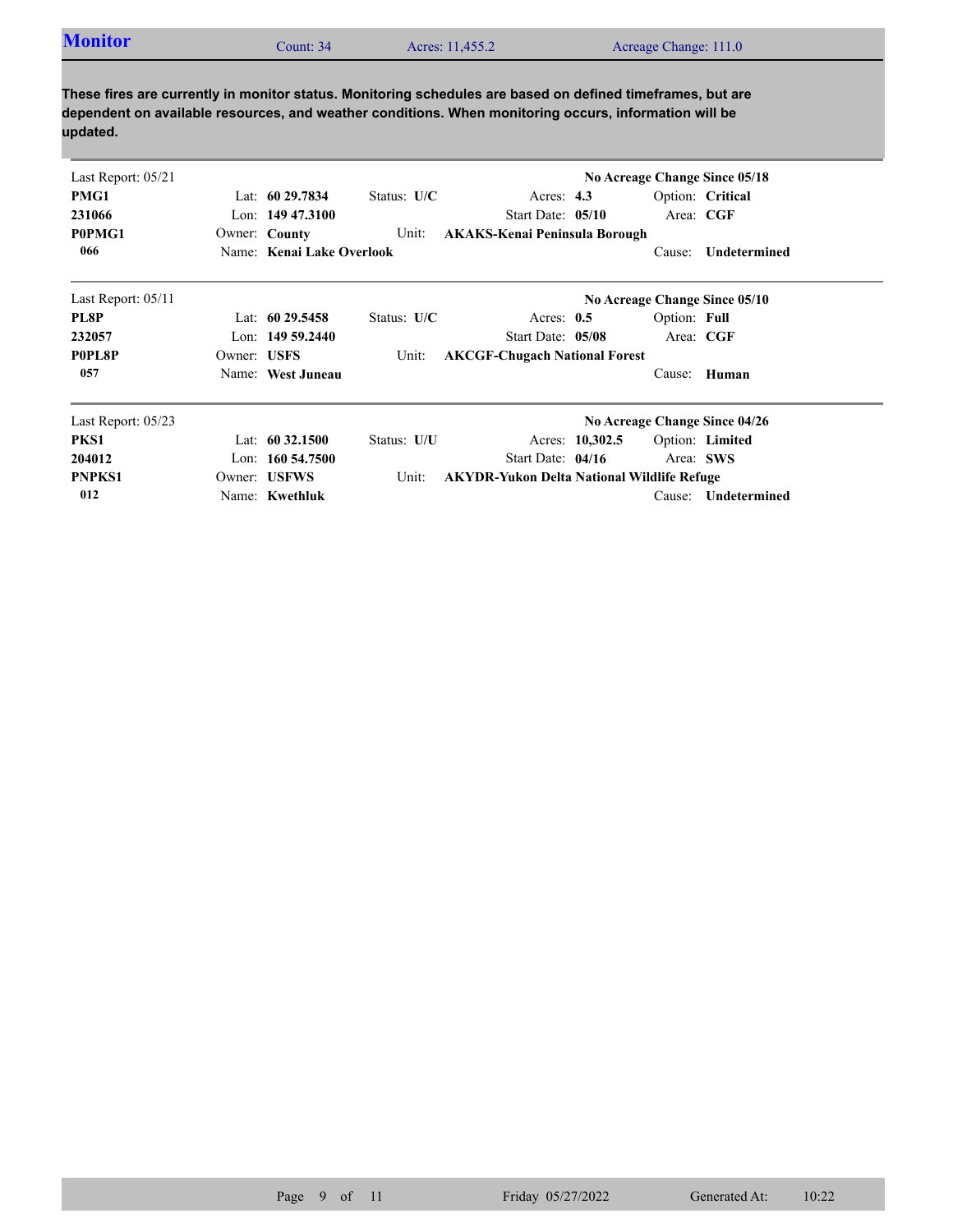| <b>Monitor</b><br>Count: 34 | Acres: 11,455.2 | Acreage Change: 111.0 |
|-----------------------------|-----------------|-----------------------|
|-----------------------------|-----------------|-----------------------|

| Last Report: 05/21 |             |                           |               |                                                   |                 |              | No Acreage Change Since 05/18 |
|--------------------|-------------|---------------------------|---------------|---------------------------------------------------|-----------------|--------------|-------------------------------|
| PMG1               |             | Lat: $6029.7834$          | Status: $U/C$ | Acres: $4.3$                                      |                 |              | Option: Critical              |
| 231066             |             | Lon: $14947.3100$         |               | Start Date: 05/10                                 |                 | Area: CGF    |                               |
| P0PMG1             |             | Owner: County             | Unit:         | <b>AKAKS-Kenai Peninsula Borough</b>              |                 |              |                               |
| 066                |             | Name: Kenai Lake Overlook |               |                                                   |                 | Cause:       | Undetermined                  |
| Last Report: 05/11 |             |                           |               |                                                   |                 |              | No Acreage Change Since 05/10 |
| PL8P               |             | Lat: 60 29.5458           | Status: $U/C$ | Acres: $0.5$                                      |                 | Option: Full |                               |
| 232057             |             | Lon: 149 59.2440          |               | Start Date: 05/08                                 |                 | Area: CGF    |                               |
| P0PL8P             | Owner: USFS |                           | Unit:         | <b>AKCGF-Chugach National Forest</b>              |                 |              |                               |
| 057                |             | Name: West Juneau         |               |                                                   |                 | Cause:       | Human                         |
| Last Report: 05/23 |             |                           |               |                                                   |                 |              | No Acreage Change Since 04/26 |
| PKS1               |             | Lat: $60\,32.1500$        | Status: U/U   |                                                   | Acres: 10,302.5 |              | Option: Limited               |
| 204012             |             | Lon: $160\,54.7500$       |               | Start Date: $04/16$                               |                 | Area: SWS    |                               |
| <b>PNPKS1</b>      |             | Owner: USFWS              | Unit:         | <b>AKYDR-Yukon Delta National Wildlife Refuge</b> |                 |              |                               |
| 012                |             | Name: Kwethluk            |               |                                                   |                 | Cause:       | Undetermined                  |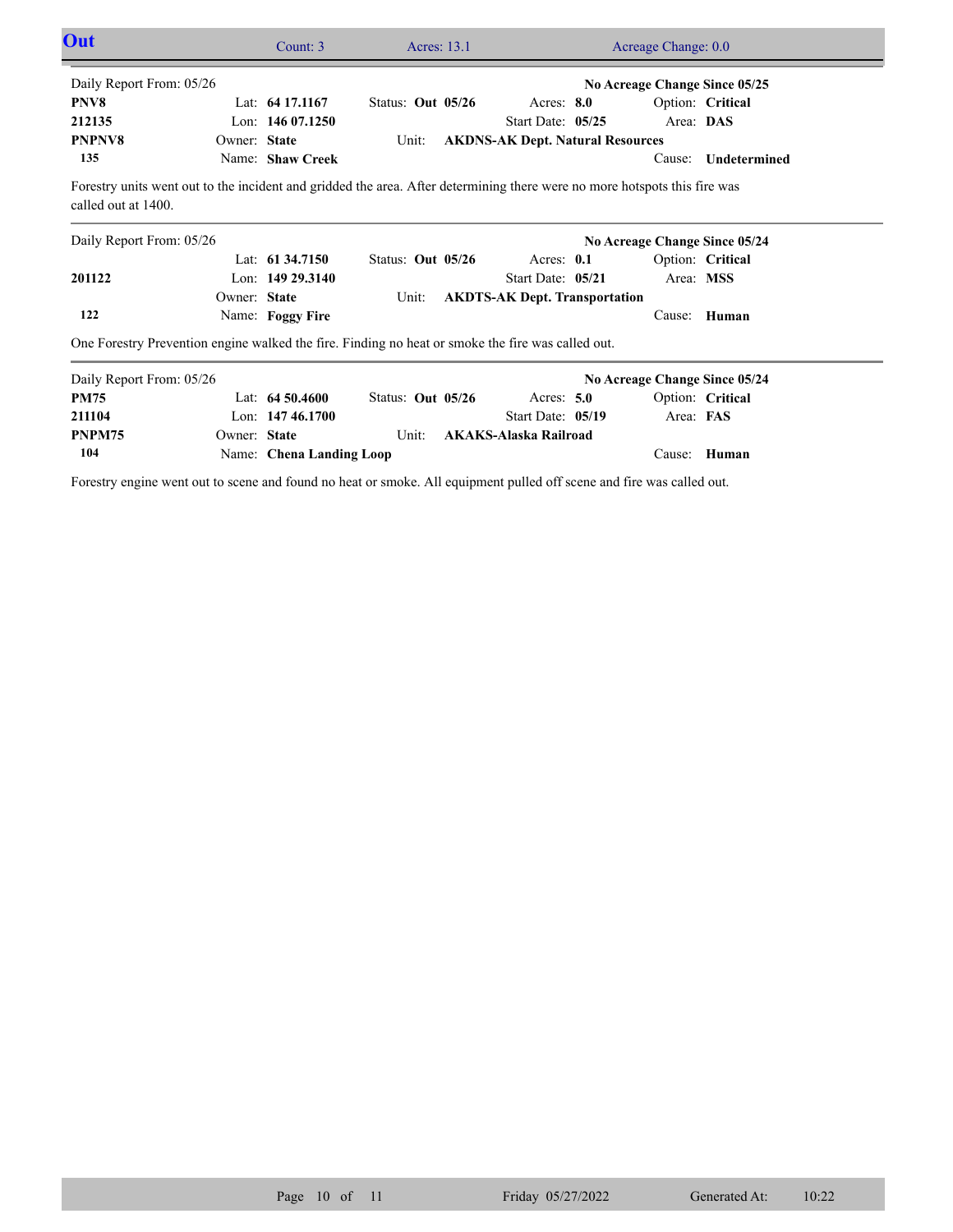| Out                                                                                                                                              | Count: 3                 | Acres: 13.1         |                                         | Acreage Change: 0.0 |                               |
|--------------------------------------------------------------------------------------------------------------------------------------------------|--------------------------|---------------------|-----------------------------------------|---------------------|-------------------------------|
| Daily Report From: 05/26                                                                                                                         |                          |                     |                                         |                     | No Acreage Change Since 05/25 |
| PNV8                                                                                                                                             | Lat: $64\,17.1167$       | Status: Out $05/26$ | Acres: $8.0$                            |                     | Option: Critical              |
| 212135                                                                                                                                           | Lon: $14607.1250$        |                     | Start Date: 05/25                       | Area: DAS           |                               |
| <b>PNPNV8</b><br>Owner: State                                                                                                                    |                          | Unit:               | <b>AKDNS-AK Dept. Natural Resources</b> |                     |                               |
| 135                                                                                                                                              | Name: Shaw Creek         |                     |                                         | Cause:              | Undetermined                  |
| Forestry units went out to the incident and gridded the area. After determining there were no more hotspots this fire was<br>called out at 1400. |                          |                     |                                         |                     |                               |
| Daily Report From: 05/26                                                                                                                         |                          |                     |                                         |                     | No Acreage Change Since 05/24 |
|                                                                                                                                                  | Lat: $61\,34.7150$       | Status: Out 05/26   | Acres: $0.1$                            |                     | Option: Critical              |
| 201122                                                                                                                                           | Lon: 149 29.3140         |                     | Start Date: 05/21                       | Area: MSS           |                               |
| Owner: State                                                                                                                                     |                          | Unit:               | <b>AKDTS-AK Dept. Transportation</b>    |                     |                               |
| 122                                                                                                                                              | Name: Foggy Fire         |                     |                                         | Cause:              | Human                         |
| One Forestry Prevention engine walked the fire. Finding no heat or smoke the fire was called out.                                                |                          |                     |                                         |                     |                               |
| Daily Report From: 05/26                                                                                                                         |                          |                     |                                         |                     | No Acreage Change Since 05/24 |
| <b>PM75</b>                                                                                                                                      | Lat: $64,50,4600$        | Status: Out 05/26   | Acres: $5.0$                            |                     | Option: Critical              |
| 211104                                                                                                                                           | Lon: $14746.1700$        |                     | Start Date: 05/19                       | Area: FAS           |                               |
| Owner: State<br>PNPM75                                                                                                                           |                          | Unit:               | <b>AKAKS-Alaska Railroad</b>            |                     |                               |
| 104                                                                                                                                              | Name: Chena Landing Loop |                     |                                         | Cause:              | Human                         |

Forestry engine went out to scene and found no heat or smoke. All equipment pulled off scene and fire was called out.